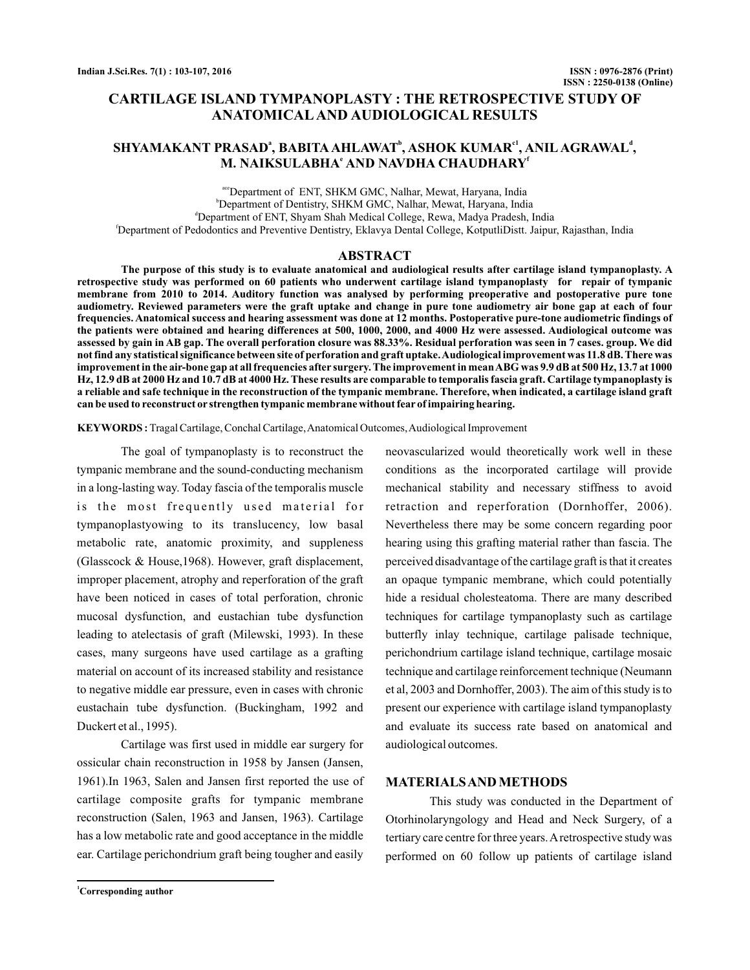# **CARTILAGE ISLAND TYMPANOPLASTY : THE RETROSPECTIVE STUDY OF ANATOMICAL AND AUDIOLOGICAL RESULTS**

# $\mathbf{SHYAMAKANT}$   $\mathbf{PRASAD}$ ª,  $\mathbf{BABITA}\mathbf{AHLAWAT}$ °,  $\mathbf{ASHOK}\mathbf{KUMAR}^{c1}, \mathbf{ANIL}\mathbf{AGRAWAL}^{d1},$ M. NAIKSULABHA<sup>e</sup> AND NAVDHA CHAUDHARY<sup>e</sup>

ace Department of ENT, SHKM GMC, Nalhar, Mewat, Haryana, India b Department of Dentistry, SHKM GMC, Nalhar, Mewat, Haryana, India d Department of ENT, Shyam Shah Medical College, Rewa, Madya Pradesh, India f Department of Pedodontics and Preventive Dentistry, Eklavya Dental College, KotputliDistt. Jaipur, Rajasthan, India

## **ABSTRACT**

**The purpose of this study is to evaluate anatomical and audiological results after cartilage island tympanoplasty. A retrospective study was performed on 60 patients who underwent cartilage island tympanoplasty for repair of tympanic membrane from 2010 to 2014. Auditory function was analysed by performing preoperative and postoperative pure tone audiometry. Reviewed parameters were the graft uptake and change in pure tone audiometry air bone gap at each of four frequencies. Anatomical success and hearing assessment was done at 12 months. Postoperative pure-tone audiometric findings of the patients were obtained and hearing differences at 500, 1000, 2000, and 4000 Hz were assessed. Audiological outcome was assessed by gain in AB gap. The overall perforation closure was 88.33%. Residual perforation was seen in 7 cases. group. We did not find any statistical significance between site of perforation and graft uptake.Audiological improvement was 11.8 dB. There was improvement in the air-bone gap at all frequencies after surgery. The improvement in meanABG was 9.9 dB at 500 Hz, 13.7 at 1000 Hz, 12.9 dB at 2000 Hz and 10.7 dB at 4000 Hz. These results are comparable to temporalis fascia graft. Cartilage tympanoplasty is a reliable and safe technique in the reconstruction of the tympanic membrane. Therefore, when indicated, a cartilage island graft can be used to reconstruct or strengthen tympanic membrane without fear of impairing hearing.**

**KEYWORDS :**Tragal Cartilage, Conchal Cartilage,Anatomical Outcomes,Audiological Improvement

The goal of tympanoplasty is to reconstruct the tympanic membrane and the sound-conducting mechanism in a long-lasting way. Today fascia of the temporalis muscle is the most frequently used material for tympanoplastyowing to its translucency, low basal metabolic rate, anatomic proximity, and suppleness (Glasscock & House,1968). However, graft displacement, improper placement, atrophy and reperforation of the graft have been noticed in cases of total perforation, chronic mucosal dysfunction, and eustachian tube dysfunction leading to atelectasis of graft (Milewski, 1993). In these cases, many surgeons have used cartilage as a grafting material on account of its increased stability and resistance to negative middle ear pressure, even in cases with chronic eustachain tube dysfunction. (Buckingham, 1992 and Duckert et al., 1995).

Cartilage was first used in middle ear surgery for ossicular chain reconstruction in 1958 by Jansen (Jansen, 1961).In 1963, Salen and Jansen first reported the use of cartilage composite grafts for tympanic membrane reconstruction (Salen, 1963 and Jansen, 1963). Cartilage has a low metabolic rate and good acceptance in the middle ear. Cartilage perichondrium graft being tougher and easily

butterfly inlay technique, cartilage palisade technique, perichondrium cartilage island technique, cartilage mosaic technique and cartilage reinforcement technique (Neumann et al, 2003 and Dornhoffer, 2003). The aim of this study is to present our experience with cartilage island tympanoplasty and evaluate its success rate based on anatomical and audiological outcomes. This study was conducted in the Department of **MATERIALSAND METHODS**

Otorhinolaryngology and Head and Neck Surgery, of a tertiary care centre for three years. A retrospective study was performed on 60 follow up patients of cartilage island

neovascularized would theoretically work well in these conditions as the incorporated cartilage will provide mechanical stability and necessary stiffness to avoid retraction and reperforation (Dornhoffer, 2006). Nevertheless there may be some concern regarding poor hearing using this grafting material rather than fascia. The perceived disadvantage of the cartilage graft is that it creates an opaque tympanic membrane, which could potentially hide a residual cholesteatoma. There are many described techniques for cartilage tympanoplasty such as cartilage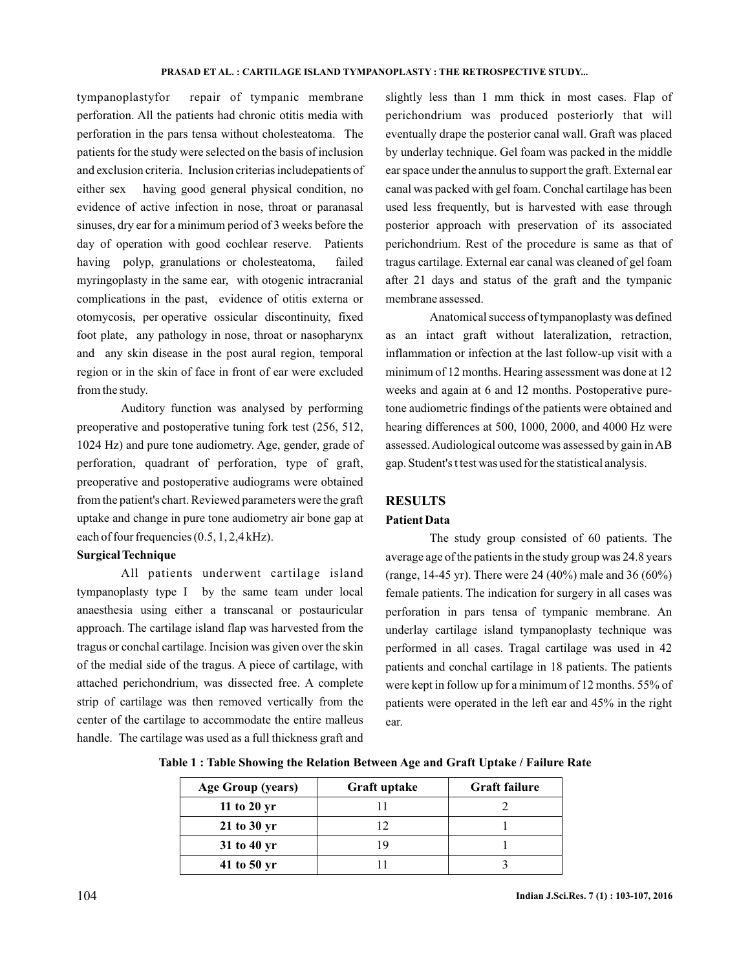tympanoplastyfor repair of tympanic membrane perforation. All the patients had chronic otitis media with perforation in the pars tensa without cholesteatoma. The patients for the study were selected on the basis of inclusion and exclusion criteria. Inclusion criterias includepatients of either sex having good general physical condition, no evidence of active infection in nose, throat or paranasal sinuses, dry ear for a minimum period of 3 weeks before the day of operation with good cochlear reserve. Patients having polyp, granulations or cholesteatoma, failed myringoplasty in the same ear, with otogenic intracranial complications in the past, evidence of otitis externa or otomycosis, per operative ossicular discontinuity, fixed foot plate, any pathology in nose, throat or nasopharynx and any skin disease in the post aural region, temporal region or in the skin of face in front of ear were excluded from the study.

Auditory function was analysed by performing preoperative and postoperative tuning fork test (256, 512, 1024 Hz) and pure tone audiometry. Age, gender, grade of perforation, quadrant of perforation, type of graft, preoperative and postoperative audiograms were obtained from the patient's chart. Reviewed parameters were the graft uptake and change in pure tone audiometry air bone gap at each of four frequencies (0.5, 1, 2,4 kHz).

## **Surgical Technique**

All patients underwent cartilage island tympanoplasty type I by the same team under local anaesthesia using either a transcanal or postauricular approach. The cartilage island flap was harvested from the tragus or conchal cartilage. Incision was given over the skin of the medial side of the tragus. A piece of cartilage, with attached perichondrium, was dissected free. A complete strip of cartilage was then removed vertically from the center of the cartilage to accommodate the entire malleus handle. The cartilage was used as a full thickness graft and

slightly less than 1 mm thick in most cases. Flap of perichondrium was produced posteriorly that will eventually drape the posterior canal wall. Graft was placed by underlay technique. Gel foam was packed in the middle ear space under the annulus to support the graft. External ear canal was packed with gel foam. Conchal cartilage has been used less frequently, but is harvested with ease through posterior approach with preservation of its associated perichondrium. Rest of the procedure is same as that of tragus cartilage. External ear canal was cleaned of gel foam after 21 days and status of the graft and the tympanic membrane assessed.

Anatomical success of tympanoplasty was defined as an intact graft without lateralization, retraction, inflammation or infection at the last follow-up visit with a minimum of 12 months. Hearing assessment was done at 12 weeks and again at 6 and 12 months. Postoperative puretone audiometric findings of the patients were obtained and hearing differences at 500, 1000, 2000, and 4000 Hz were assessed.Audiological outcome was assessed by gain inAB gap. Student's t test was used for the statistical analysis.

### **RESULTS**

### **Patient Data**

The study group consisted of 60 patients. The average age of the patients in the study group was 24.8 years (range, 14-45 yr). There were 24 (40%) male and 36 (60%) female patients. The indication for surgery in all cases was perforation in pars tensa of tympanic membrane. An underlay cartilage island tympanoplasty technique was performed in all cases. Tragal cartilage was used in 42 patients and conchal cartilage in 18 patients. The patients were kept in follow up for a minimum of 12 months. 55% of patients were operated in the left ear and 45% in the right ear.

| Age Group (years) | Graft uptake | <b>Graft failure</b> |
|-------------------|--------------|----------------------|
| 11 to 20 $yr$     |              |                      |
| $21$ to $30$ yr   |              |                      |
| 31 to 40 yr       |              |                      |
| 41 to 50 yr       |              |                      |

**Table 1 : Table Showing the Relation Between Age and Graft Uptake / Failure Rate**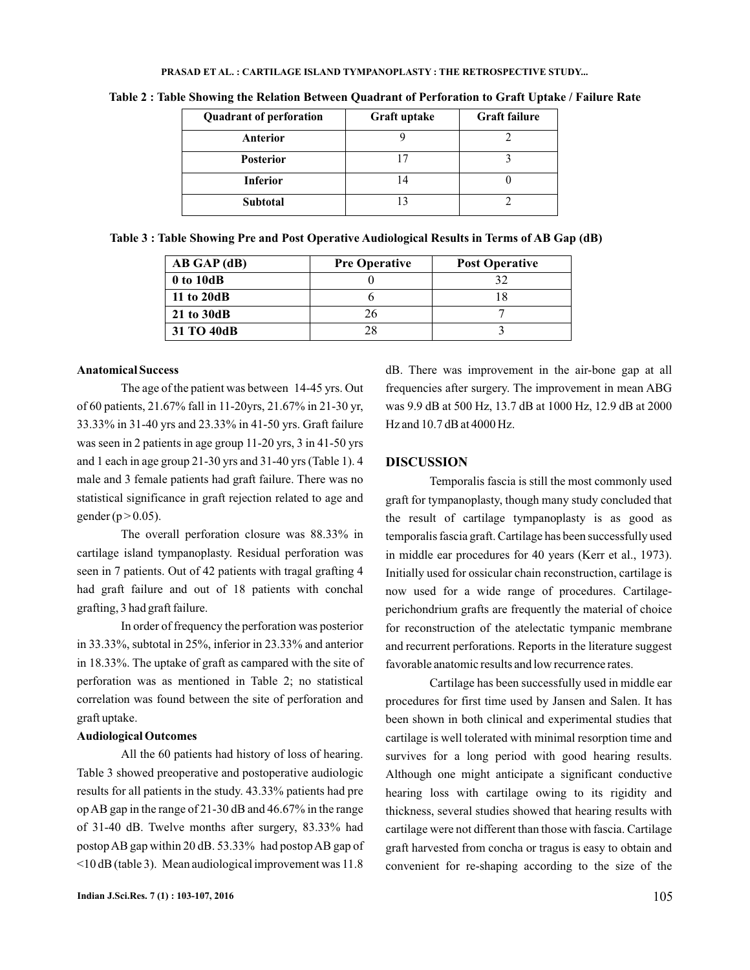#### **PRASAD ET AL. : CARTILAGE ISLAND TYMPANOPLASTY : THE RETROSPECTIVE STUDY...**

| <b>Quadrant of perforation</b> | Graft uptake | <b>Graft failure</b> |
|--------------------------------|--------------|----------------------|
| Anterior                       |              |                      |
| <b>Posterior</b>               |              |                      |
| <b>Inferior</b>                |              |                      |
| <b>Subtotal</b>                |              |                      |

**Table 2 : Table Showing the Relation Between Quadrant of Perforation to Graft Uptake / Failure Rate**

**Table 3 : Table Showing Pre and Post Operative Audiological Results in Terms of AB Gap (dB)**

| AB GAP (dB) | <b>Pre Operative</b> | <b>Post Operative</b> |
|-------------|----------------------|-----------------------|
| 0 to 10dB   |                      | 32                    |
| 11 to 20dB  |                      |                       |
| 21 to 30dB  | 26                   |                       |
| 31 TO 40dB  | 28                   |                       |

### **Anatomical Success**

The age of the patient was between 14-45 yrs. Out of 60 patients, 21.67% fall in 11-20yrs, 21.67% in 21-30 yr, 33.33% in 31-40 yrs and 23.33% in 41-50 yrs. Graft failure was seen in 2 patients in age group 11-20 yrs, 3 in 41-50 yrs and 1 each in age group 21-30 yrs and 31-40 yrs (Table 1). 4 male and 3 female patients had graft failure. There was no statistical significance in graft rejection related to age and gender ( $p > 0.05$ ).

The overall perforation closure was 88.33% in cartilage island tympanoplasty. Residual perforation was seen in 7 patients. Out of 42 patients with tragal grafting 4 had graft failure and out of 18 patients with conchal grafting, 3 had graft failure.

In order of frequency the perforation was posterior in 33.33%, subtotal in 25%, inferior in 23.33% and anterior in 18.33%. The uptake of graft as campared with the site of perforation was as mentioned in Table 2; no statistical correlation was found between the site of perforation and graft uptake.

#### **Audiological Outcomes**

All the 60 patients had history of loss of hearing. Table 3 showed preoperative and postoperative audiologic results for all patients in the study. 43.33% patients had pre op AB gap in the range of 21-30 dB and 46.67% in the range of 31-40 dB. Twelve months after surgery, 83.33% had postopAB gap within 20 dB. 53.33% had postopAB gap of <10 dB (table 3). Mean audiological improvement was 11.8

dB. There was improvement in the air-bone gap at all frequencies after surgery. The improvement in mean ABG was 9.9 dB at 500 Hz, 13.7 dB at 1000 Hz, 12.9 dB at 2000 Hz and 10.7 dB at 4000 Hz.

### **DISCUSSION**

Temporalis fascia is still the most commonly used graft for tympanoplasty, though many study concluded that the result of cartilage tympanoplasty is as good as temporalis fascia graft. Cartilage has been successfully used in middle ear procedures for 40 years (Kerr et al., 1973). Initially used for ossicular chain reconstruction, cartilage is now used for a wide range of procedures. Cartilageperichondrium grafts are frequently the material of choice for reconstruction of the atelectatic tympanic membrane and recurrent perforations. Reports in the literature suggest favorable anatomic results and low recurrence rates.

Cartilage has been successfully used in middle ear procedures for first time used by Jansen and Salen. It has been shown in both clinical and experimental studies that cartilage is well tolerated with minimal resorption time and survives for a long period with good hearing results. Although one might anticipate a significant conductive hearing loss with cartilage owing to its rigidity and thickness, several studies showed that hearing results with cartilage were not different than those with fascia. Cartilage graft harvested from concha or tragus is easy to obtain and convenient for re-shaping according to the size of the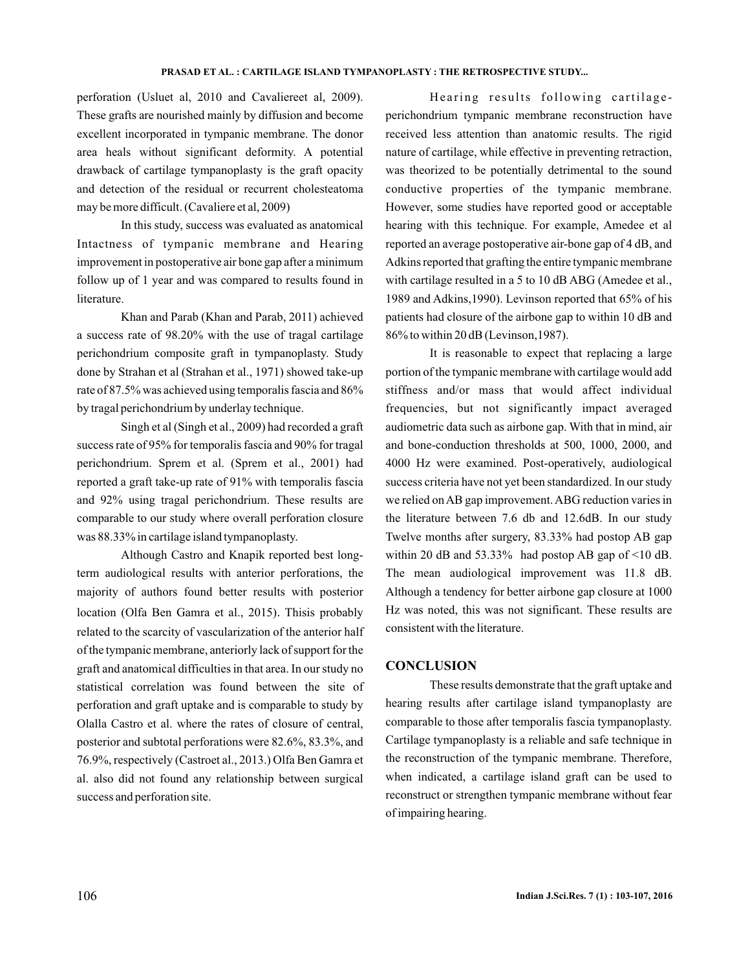#### **PRASAD ET AL. : CARTILAGE ISLAND TYMPANOPLASTY : THE RETROSPECTIVE STUDY...**

perforation (Usluet al, 2010 and Cavaliereet al, 2009). These grafts are nourished mainly by diffusion and become excellent incorporated in tympanic membrane. The donor area heals without significant deformity. A potential drawback of cartilage tympanoplasty is the graft opacity and detection of the residual or recurrent cholesteatoma may be more difficult. (Cavaliere et al, 2009)

In this study, success was evaluated as anatomical Intactness of tympanic membrane and Hearing improvement in postoperative air bone gap after a minimum follow up of 1 year and was compared to results found in literature.

Khan and Parab (Khan and Parab, 2011) achieved a success rate of 98.20% with the use of tragal cartilage perichondrium composite graft in tympanoplasty. Study done by Strahan et al (Strahan et al., 1971) showed take-up rate of 87.5% was achieved using temporalis fascia and 86% by tragal perichondrium by underlay technique.

Singh et al (Singh et al., 2009) had recorded a graft success rate of 95% for temporalis fascia and 90% for tragal perichondrium. Sprem et al. (Sprem et al., 2001) had reported a graft take-up rate of 91% with temporalis fascia and 92% using tragal perichondrium. These results are comparable to our study where overall perforation closure was 88.33% in cartilage island tympanoplasty.

Although Castro and Knapik reported best longterm audiological results with anterior perforations, the majority of authors found better results with posterior location (Olfa Ben Gamra et al., 2015). Thisis probably related to the scarcity of vascularization of the anterior half of the tympanic membrane, anteriorly lack of support for the graft and anatomical difficulties in that area. In our study no statistical correlation was found between the site of perforation and graft uptake and is comparable to study by Olalla Castro et al. where the rates of closure of central, posterior and subtotal perforations were 82.6%, 83.3%, and 76.9%, respectively (Castroet al., 2013.) Olfa Ben Gamra et al. also did not found any relationship between surgical success and perforation site.

Hearing results following cartilageperichondrium tympanic membrane reconstruction have received less attention than anatomic results. The rigid nature of cartilage, while effective in preventing retraction, was theorized to be potentially detrimental to the sound conductive properties of the tympanic membrane. However, some studies have reported good or acceptable hearing with this technique. For example, Amedee et al reported an average postoperative air-bone gap of 4 dB, and Adkins reported that grafting the entire tympanic membrane with cartilage resulted in a 5 to 10 dB ABG (Amedee et al., 1989 and Adkins,1990). Levinson reported that 65% of his patients had closure of the airbone gap to within 10 dB and 86% to within 20 dB (Levinson,1987).

It is reasonable to expect that replacing a large portion of the tympanic membrane with cartilage would add stiffness and/or mass that would affect individual frequencies, but not significantly impact averaged audiometric data such as airbone gap. With that in mind, air and bone-conduction thresholds at 500, 1000, 2000, and 4000 Hz were examined. Post-operatively, audiological success criteria have not yet been standardized. In our study we relied on AB gap improvement. ABG reduction varies in the literature between 7.6 db and 12.6dB. In our study Twelve months after surgery, 83.33% had postop AB gap within 20 dB and  $53.33\%$  had postop AB gap of  $\leq 10$  dB. The mean audiological improvement was 11.8 dB. Although a tendency for better airbone gap closure at 1000 Hz was noted, this was not significant. These results are consistent with the literature.

#### **CONCLUSION**

These results demonstrate that the graft uptake and hearing results after cartilage island tympanoplasty are comparable to those after temporalis fascia tympanoplasty. Cartilage tympanoplasty is a reliable and safe technique in the reconstruction of the tympanic membrane. Therefore, when indicated, a cartilage island graft can be used to reconstruct or strengthen tympanic membrane without fear of impairing hearing.